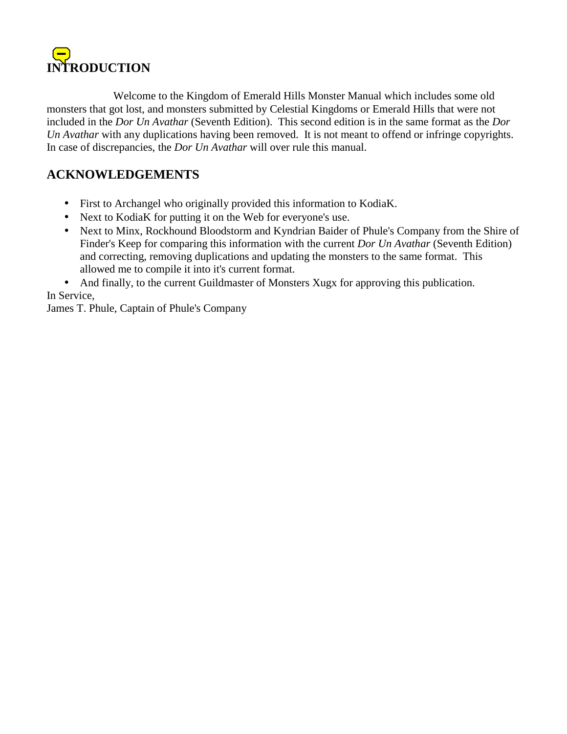

 Welcome to the Kingdom of Emerald Hills Monster Manual which includes some old monsters that got lost, and monsters submitted by Celestial Kingdoms or Emerald Hills that were not included in the *Dor Un Avathar* (Seventh Edition). This second edition is in the same format as the *Dor Un Avathar* with any duplications having been removed. It is not meant to offend or infringe copyrights. In case of discrepancies, the *Dor Un Avathar* will over rule this manual.

# **ACKNOWLEDGEMENTS**

- First to Archangel who originally provided this information to KodiaK.
- Next to KodiaK for putting it on the Web for everyone's use.
- Next to Minx, Rockhound Bloodstorm and Kyndrian Baider of Phule's Company from the Shire of Finder's Keep for comparing this information with the current *Dor Un Avathar* (Seventh Edition) and correcting, removing duplications and updating the monsters to the same format. This allowed me to compile it into it's current format.

• And finally, to the current Guildmaster of Monsters Xugx for approving this publication. In Service,

James T. Phule, Captain of Phule's Company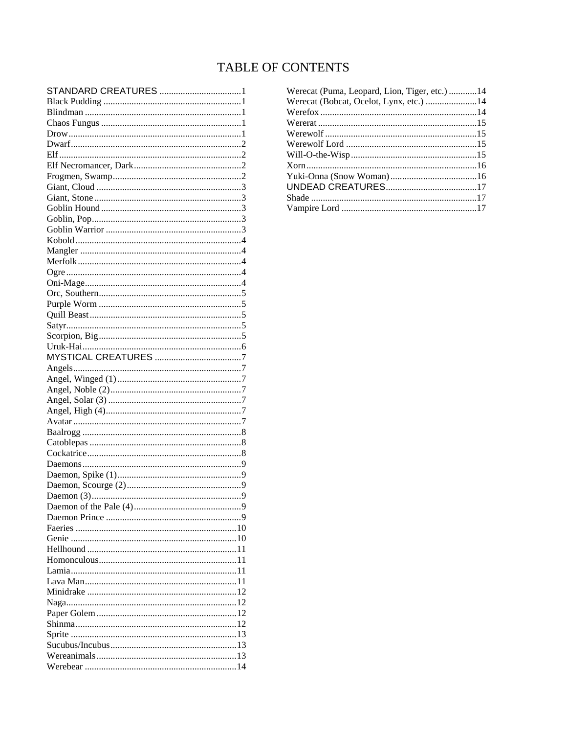# **TABLE OF CONTENTS**

| STANDARD CREATURES 1 |  |
|----------------------|--|
|                      |  |
|                      |  |
|                      |  |
|                      |  |
|                      |  |
|                      |  |
|                      |  |
|                      |  |
|                      |  |
|                      |  |
|                      |  |
|                      |  |
|                      |  |
|                      |  |
|                      |  |
|                      |  |
|                      |  |
|                      |  |
|                      |  |
|                      |  |
|                      |  |
|                      |  |
|                      |  |
|                      |  |
|                      |  |
|                      |  |
|                      |  |
|                      |  |
|                      |  |
|                      |  |
|                      |  |
|                      |  |
|                      |  |
|                      |  |
|                      |  |
|                      |  |
|                      |  |
|                      |  |
|                      |  |
|                      |  |
|                      |  |
|                      |  |
|                      |  |
|                      |  |
|                      |  |
|                      |  |
|                      |  |
|                      |  |
|                      |  |
|                      |  |
|                      |  |
|                      |  |
|                      |  |
|                      |  |
|                      |  |

| Werecat (Puma, Leopard, Lion, Tiger, etc.) 14 |  |
|-----------------------------------------------|--|
| Werecat (Bobcat, Ocelot, Lynx, etc.) 14       |  |
|                                               |  |
|                                               |  |
|                                               |  |
|                                               |  |
|                                               |  |
|                                               |  |
|                                               |  |
|                                               |  |
|                                               |  |
|                                               |  |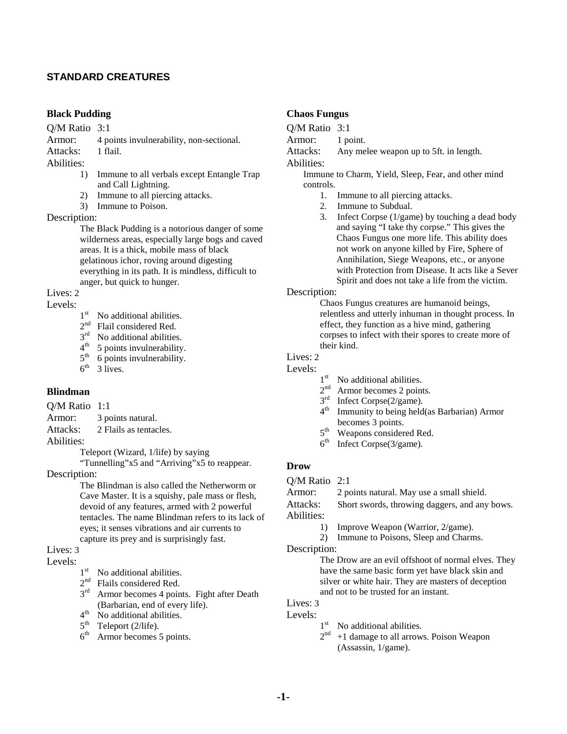#### **STANDARD CREATURES**

### **Black Pudding**

Q/M Ratio 3:1

Armor: 4 points invulnerability, non-sectional.

Attacks: 1 flail.

Abilities:

- 1) Immune to all verbals except Entangle Trap and Call Lightning.
- 2) Immune to all piercing attacks.
- 3) Immune to Poison.

#### Description:

The Black Pudding is a notorious danger of some wilderness areas, especially large bogs and caved areas. It is a thick, mobile mass of black gelatinous ichor, roving around digesting everything in its path. It is mindless, difficult to anger, but quick to hunger.

## Lives: 2

# Levels:  $1<sup>st</sup>$

- $1<sup>st</sup>$  No additional abilities.<br> $2<sup>nd</sup>$  Flail considered Red.
- Flail considered Red.
- $3<sup>rd</sup>$  No additional abilities.<br>4<sup>th</sup> 5 points invulnerability
- $4<sup>th</sup>$  5 points invulnerability.<br> $5<sup>th</sup>$  6 points invulnerability.
- $5<sup>th</sup>$  6 points invulnerability.<br>6<sup>th</sup> 3 lives.
- 3 lives.

# **Blindman**

- Q/M Ratio 1:1
- Armor: 3 points natural.
- Attacks: 2 Flails as tentacles.

Abilities:

Teleport (Wizard, 1/life) by saying

"Tunnelling"x5 and "Arriving"x5 to reappear.

Description:

The Blindman is also called the Netherworm or Cave Master. It is a squishy, pale mass or flesh, devoid of any features, armed with 2 powerful tentacles. The name Blindman refers to its lack of eyes; it senses vibrations and air currents to capture its prey and is surprisingly fast.

### Lives: 3

# Levels:  $1^{\text{st}}$

- No additional abilities.
- $2<sup>nd</sup>$  Flails considered Red.
- 3<sup>rd</sup> Armor becomes 4 points. Fight after Death (Barbarian, end of every life).
- $4<sup>th</sup>$  No additional abilities.
- $5<sup>th</sup>$  Teleport (2/life).
- $6<sup>th</sup>$  Armor becomes 5 points.

### **Chaos Fungus**

Q/M Ratio 3:1

Armor: 1 point.

Attacks: Any melee weapon up to 5ft. in length.

Abilities:

Immune to Charm, Yield, Sleep, Fear, and other mind controls.

- 1. Immune to all piercing attacks.
- 2. Immune to Subdual.
- 3. Infect Corpse (1/game) by touching a dead body and saying "I take thy corpse." This gives the Chaos Fungus one more life. This ability does not work on anyone killed by Fire, Sphere of Annihilation, Siege Weapons, etc., or anyone with Protection from Disease. It acts like a Sever Spirit and does not take a life from the victim.

#### Description:

Chaos Fungus creatures are humanoid beings, relentless and utterly inhuman in thought process. In effect, they function as a hive mind, gathering corpses to infect with their spores to create more of their kind.

# Lives: 2

Levels:

- 1<sup>st</sup> No additional abilities.
- 2<sup>nd</sup> Armor becomes 2 points.
- 3<sup>rd</sup> Infect Corpse(2/game).
- 4<sup>th</sup> Immunity to being held(as Barbarian) Armor becomes 3 points.
- $5<sup>th</sup>$  Weapons considered Red.<br>6<sup>th</sup> Infect Corpse(3/game).
- Infect Corpse(3/game).

#### **Drow**

Q/M Ratio 2:1

Armor: 2 points natural. May use a small shield.

Attacks: Short swords, throwing daggers, and any bows. Abilities:

- 1) Improve Weapon (Warrior, 2/game).
- 2) Immune to Poisons, Sleep and Charms.

Description:

The Drow are an evil offshoot of normal elves. They have the same basic form yet have black skin and silver or white hair. They are masters of deception and not to be trusted for an instant.

#### Lives: 3

- Levels:
	- 1<sup>st</sup> No additional abilities.
		- $2<sup>nd</sup> +1$  damage to all arrows. Poison Weapon (Assassin, 1/game).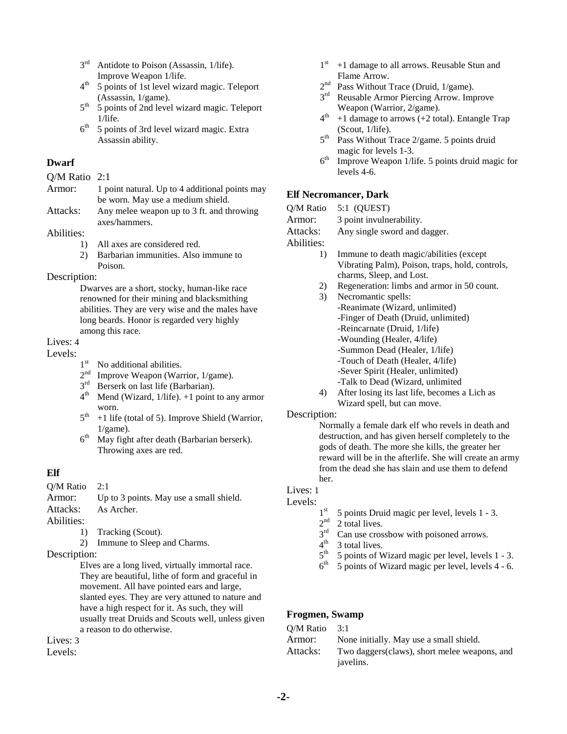- $3<sup>rd</sup>$  Antidote to Poison (Assassin, 1/life). Improve Weapon 1/life.
- $4<sup>th</sup>$  5 points of 1st level wizard magic. Teleport (Assassin, 1/game).
- 5<sup>th</sup> 5 points of 2nd level wizard magic. Teleport 1/life.
- $6<sup>th</sup>$  5 points of 3rd level wizard magic. Extra Assassin ability.

### **Dwarf**

Q/M Ratio 2:1

- Armor: 1 point natural. Up to 4 additional points may be worn. May use a medium shield.
- Attacks: Any melee weapon up to 3 ft. and throwing axes/hammers.

#### Abilities:

- 1) All axes are considered red.
- 2) Barbarian immunities. Also immune to Poison.

#### Description:

Dwarves are a short, stocky, human-like race renowned for their mining and blacksmithing abilities. They are very wise and the males have long beards. Honor is regarded very highly among this race.

# Lives: 4

- Levels:  $1^{\text{st}}$ 
	- No additional abilities.
	- $2<sup>nd</sup>$  Improve Weapon (Warrior, 1/game).<br> $3<sup>rd</sup>$  Berserk on last life (Barbarian)
	- Berserk on last life (Barbarian).
	- $4<sup>th</sup>$  Mend (Wizard, 1/life). +1 point to any armor worn.
	- $5<sup>th</sup> +1$  life (total of 5). Improve Shield (Warrior,  $1/game$ ).
	- $6<sup>th</sup>$  May fight after death (Barbarian berserk). Throwing axes are red.

# **Elf**

Q/M Ratio 2:1

| Armor:     | Up to 3 points. May use a small shield.                       |
|------------|---------------------------------------------------------------|
| Attacks:   | As Archer.                                                    |
| Abilities: |                                                               |
|            | $\mathbf{T} \cdot \mathbf{I}$ . $\mathbf{M} \cdot \mathbf{I}$ |

- 1) Tracking (Scout).
- 2) Immune to Sleep and Charms.
- Description:

Elves are a long lived, virtually immortal race. They are beautiful, lithe of form and graceful in movement. All have pointed ears and large, slanted eyes. They are very attuned to nature and have a high respect for it. As such, they will usually treat Druids and Scouts well, unless given a reason to do otherwise.

#### Lives: 3

Levels:

- $1<sup>st</sup> +1$  damage to all arrows. Reusable Stun and Flame Arrow.
- 2<sup>nd</sup> Pass Without Trace (Druid, 1/game).
- 3<sup>rd</sup> Reusable Armor Piercing Arrow. Improve Weapon (Warrior, 2/game).
- $4<sup>th</sup>$  +1 damage to arrows (+2 total). Entangle Trap (Scout, 1/life).
- $5<sup>th</sup>$  Pass Without Trace 2/game. 5 points druid magic for levels 1-3.
- $6<sup>th</sup>$  Improve Weapon 1/life. 5 points druid magic for levels 4-6.

# **Elf Necromancer, Dark**

|              |    | Q/M Ratio 5:1 (QUEST)                                |
|--------------|----|------------------------------------------------------|
| Armor:       |    | 3 point invulnerability.                             |
| Attacks:     |    | Any single sword and dagger.                         |
| Abilities:   |    |                                                      |
|              | 1) | Immune to death magic/abilities (except              |
|              |    | Vibrating Palm), Poison, traps, hold, controls,      |
|              |    | charms, Sleep, and Lost.                             |
|              | 2) | Regeneration: limbs and armor in 50 count.           |
|              | 3) | Necromantic spells:                                  |
|              |    | -Reanimate (Wizard, unlimited)                       |
|              |    | -Finger of Death (Druid, unlimited)                  |
|              |    | -Reincarnate (Druid, 1/life)                         |
|              |    | -Wounding (Healer, 4/life)                           |
|              |    | -Summon Dead (Healer, 1/life)                        |
|              |    | -Touch of Death (Healer, 4/life)                     |
|              |    | -Sever Spirit (Healer, unlimited)                    |
|              |    | -Talk to Dead (Wizard, unlimited                     |
|              | 4) | After losing its last life, becomes a Lich as        |
|              |    | Wizard spell, but can move.                          |
| Description: |    |                                                      |
|              |    | Normally a female dark elf who revels in death and   |
|              |    | destruction, and has given herself completely to the |
|              |    | gods of death. The more she kills, the greater her   |
|              |    |                                                      |

reward will be in the afterlife. She will create an army from the dead she has slain and use them to defend her.

# Lives: 1

# Levels:  $1^{st}$

- 5 points Druid magic per level, levels 1 3.
- $2<sup>nd</sup>$  2 total lives.
- $3<sup>rd</sup>$  Can use crossbow with poisoned arrows.
- $4<sup>th</sup>$  3 total lives.<br> $5<sup>th</sup>$  5 points of V
- $5<sup>th</sup>$  5 points of Wizard magic per level, levels 1 3.<br> $6<sup>th</sup>$  5 points of Wizard magic per level. levels 4 6.
- 5 points of Wizard magic per level, levels 4 6.

# **Frogmen, Swamp**

| $O/M$ Ratio 3:1 |                                               |
|-----------------|-----------------------------------------------|
| Armor:          | None initially. May use a small shield.       |
| Attacks:        | Two daggers (claws), short melee weapons, and |
|                 | javelins.                                     |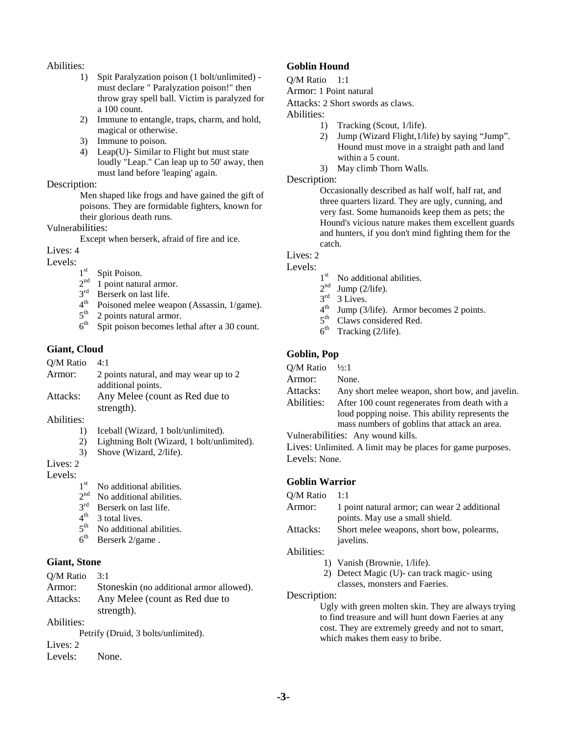#### Abilities:

- 1) Spit Paralyzation poison (1 bolt/unlimited) must declare " Paralyzation poison!" then throw gray spell ball. Victim is paralyzed for a 100 count.
- 2) Immune to entangle, traps, charm, and hold, magical or otherwise.
- 3) Immune to poison.
- 4) Leap(U)- Similar to Flight but must state loudly "Leap." Can leap up to 50' away, then must land before 'leaping' again.

#### Description:

Men shaped like frogs and have gained the gift of poisons. They are formidable fighters, known for their glorious death runs.

#### Vulnerabilities:

Except when berserk, afraid of fire and ice.

# Lives: 4

# Levels:  $1^{st}$

- Spit Poison.
- $2<sup>nd</sup>$  1 point natural armor.<br> $3<sup>rd</sup>$  Berserk on last life.
- $3<sup>rd</sup>$  Berserk on last life.<br>4<sup>th</sup> Poisoned melee wes
- Poisoned melee weapon (Assassin, 1/game).
- $5<sup>th</sup>$  2 points natural armor.<br> $6<sup>th</sup>$  Spit poison becomes le
- Spit poison becomes lethal after a 30 count.

# **Giant, Cloud**

| Q/M Ratio | 4:1                                    |
|-----------|----------------------------------------|
| Armor:    | 2 points natural, and may wear up to 2 |
|           | additional points.                     |
| Attacks:  | Any Melee (count as Red due to         |
|           | strength).                             |

#### Abilities:

- 1) Iceball (Wizard, 1 bolt/unlimited).
- 2) Lightning Bolt (Wizard, 1 bolt/unlimited).
- 3) Shove (Wizard, 2/life).

# Lives: 2

# Levels:  $1<sup>st</sup>$

- $1<sup>st</sup>$  No additional abilities.<br> $2<sup>nd</sup>$  No additional abilities
- No additional abilities.
- 3<sup>rd</sup> Berserk on last life.
- $4^{th}$  3 total lives.<br> $5^{th}$  No additions
- No additional abilities.
- $6<sup>th</sup>$  Berserk 2/game.

# **Giant, Stone**

| O/M Ratio  | 3:1                                      |
|------------|------------------------------------------|
| Armor:     | Stoneskin (no additional armor allowed). |
| Attacks:   | Any Melee (count as Red due to           |
|            | strength).                               |
| Abilities: |                                          |
|            | Petrify (Druid, 3 bolts/unlimited).      |
| Lives: 2   |                                          |
| Levels:    | None.                                    |

# **Goblin Hound**

# Q/M Ratio 1:1

Armor: 1 Point natural

Attacks: 2 Short swords as claws.

Abilities:

- 1) Tracking (Scout, 1/life).
- 2) Jump (Wizard Flight,1/life) by saying "Jump". Hound must move in a straight path and land within a 5 count.
- 3) May climb Thorn Walls.

# Description:

Occasionally described as half wolf, half rat, and three quarters lizard. They are ugly, cunning, and very fast. Some humanoids keep them as pets; the Hound's vicious nature makes them excellent guards and hunters, if you don't mind fighting them for the catch.

# Lives: 2

# Levels:  $1^{\text{st}}$

- No additional abilities.
- $2<sup>nd</sup>$  Jump (2/life).
- $3<sup>rd</sup>$  3 Lives.
- $4<sup>th</sup>$  Jump (3/life). Armor becomes 2 points.
- 5<sup>th</sup> Claws considered Red.
- $6<sup>th</sup>$  Tracking (2/life).

# **Goblin, Pop**

| O/M Ratio  | $\frac{1}{2}$ : 1                               |
|------------|-------------------------------------------------|
| Armor:     | None.                                           |
| Attacks:   | Any short melee weapon, short bow, and javelin. |
| Abilities: | After 100 count regenerates from death with a   |
|            | loud popping noise. This ability represents the |
|            | mass numbers of goblins that attack an area.    |
|            |                                                 |

Vulnerabilities: Any wound kills.

Lives: Unlimited. A limit may be places for game purposes. Levels: None.

# **Goblin Warrior**

- Q/M Ratio 1:1
- Armor: 1 point natural armor; can wear 2 additional points. May use a small shield.
- Attacks: Short melee weapons, short bow, polearms, javelins.

### Abilities:

- 1) Vanish (Brownie, 1/life).
- 2) Detect Magic (U)- can track magic- using classes, monsters and Faeries.

#### Description:

Ugly with green molten skin. They are always trying to find treasure and will hunt down Faeries at any cost. They are extremely greedy and not to smart, which makes them easy to bribe.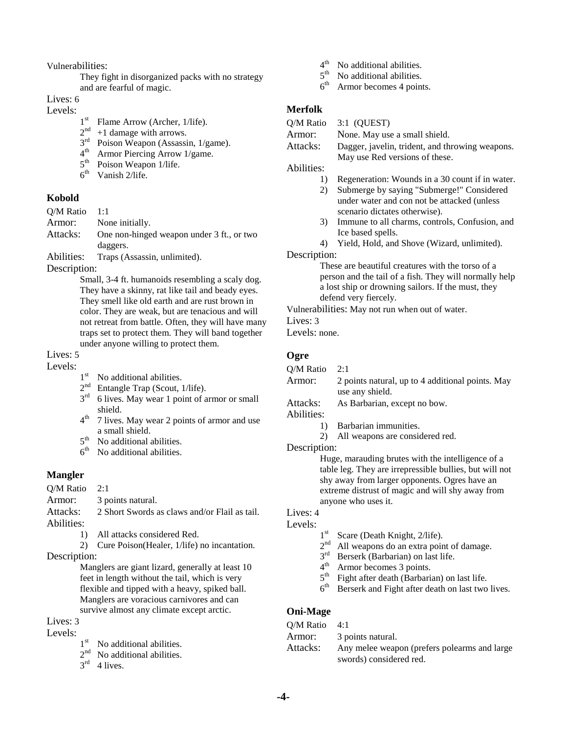Vulnerabilities:

They fight in disorganized packs with no strategy and are fearful of magic.

Lives: 6

Levels:

- $1^{\text{st}}$  Flame Arrow (Archer, 1/life).<br> $2^{\text{nd}}$  +1 damage with arrows.
- $2<sup>nd</sup>$  +1 damage with arrows.<br> $3<sup>rd</sup>$  Poison Weapon (Assassi
- Poison Weapon (Assassin, 1/game).
- 4th Armor Piercing Arrow 1/game.
- 5<sup>th</sup> Poison Weapon 1/life.
- $6<sup>th</sup>$  Vanish 2/life.

#### **Kobold**

Q/M Ratio 1:1

Armor: None initially.

Attacks: One non-hinged weapon under 3 ft., or two daggers.

Abilities: Traps (Assassin, unlimited).

Description:

Small, 3-4 ft. humanoids resembling a scaly dog. They have a skinny, rat like tail and beady eyes. They smell like old earth and are rust brown in color. They are weak, but are tenacious and will not retreat from battle. Often, they will have many traps set to protect them. They will band together under anyone willing to protect them.

Lives: 5

Levels:

- $1<sup>st</sup>$  No additional abilities.<br> $2<sup>nd</sup>$  Entangle Trap (Scout
- Entangle Trap (Scout, 1/life).
- $3<sup>rd</sup>$  6 lives. May wear 1 point of armor or small shield.
- $4<sup>th</sup>$  7 lives. May wear 2 points of armor and use a small shield.
- $5<sup>th</sup>$  No additional abilities.<br>6<sup>th</sup> No additional abilities.
- No additional abilities.

#### **Mangler**

- Q/M Ratio 2:1
- Armor: 3 points natural.
- Attacks: 2 Short Swords as claws and/or Flail as tail. Abilities:
	- 1) All attacks considered Red.
		- 2) Cure Poison(Healer, 1/life) no incantation.

Description:

Manglers are giant lizard, generally at least 10 feet in length without the tail, which is very flexible and tipped with a heavy, spiked ball. Manglers are voracious carnivores and can survive almost any climate except arctic.

# Lives: 3

- Levels:  $1^{st}$ 
	- No additional abilities.
	- 2<sup>nd</sup> No additional abilities.
	- $3<sup>rd</sup>$  4 lives.
- $4<sup>th</sup>$  No additional abilities.<br> $5<sup>th</sup>$  No additional abilities.
- $5<sup>th</sup>$  No additional abilities.<br>6<sup>th</sup> Armor becomes 4 poin
- Armor becomes 4 points.

### **Merfolk**

Q/M Ratio 3:1 (QUEST)

Armor: None. May use a small shield.

Attacks: Dagger, javelin, trident, and throwing weapons. May use Red versions of these.

Abilities:

- 1) Regeneration: Wounds in a 30 count if in water.
- 2) Submerge by saying "Submerge!" Considered under water and con not be attacked (unless scenario dictates otherwise).
- 3) Immune to all charms, controls, Confusion, and Ice based spells.
- 4) Yield, Hold, and Shove (Wizard, unlimited).

Description:

These are beautiful creatures with the torso of a person and the tail of a fish. They will normally help a lost ship or drowning sailors. If the must, they defend very fiercely.

Vulnerabilities: May not run when out of water.

Lives: 3

Levels: none.

#### **Ogre**

Q/M Ratio 2:1

Armor: 2 points natural, up to 4 additional points. May use any shield.

Attacks: As Barbarian, except no bow.

Abilities:

- 1) Barbarian immunities.
	- 2) All weapons are considered red.

#### Description:

Huge, marauding brutes with the intelligence of a table leg. They are irrepressible bullies, but will not shy away from larger opponents. Ogres have an extreme distrust of magic and will shy away from anyone who uses it.

# Lives: 4

- Levels:  $1^{\text{st}}$ 
	- Scare (Death Knight, 2/life).
	- 2<sup>nd</sup> All weapons do an extra point of damage.
	- 3rd Berserk (Barbarian) on last life.
	- 4<sup>th</sup> Armor becomes 3 points.
	- $5<sup>th</sup>$  Fight after death (Barbarian) on last life.
	- $6<sup>th</sup>$  Berserk and Fight after death on last two lives.

#### **Oni-Mage**

| $O/M$ Ratio 4:1 |                                              |
|-----------------|----------------------------------------------|
| Armor:          | 3 points natural.                            |
| Attacks:        | Any melee weapon (prefers polearms and large |
|                 | swords) considered red.                      |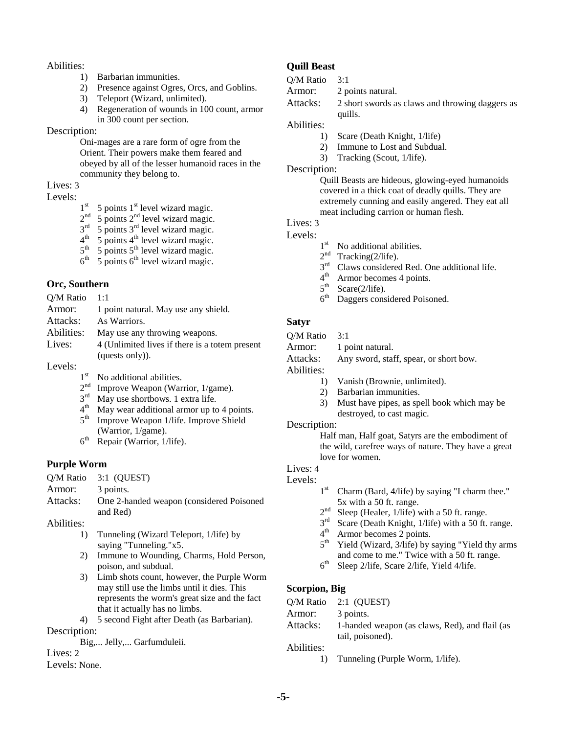#### Abilities:

- 1) Barbarian immunities.
- 2) Presence against Ogres, Orcs, and Goblins.
- 3) Teleport (Wizard, unlimited).
- 4) Regeneration of wounds in 100 count, armor in 300 count per section.

#### Description:

Oni-mages are a rare form of ogre from the Orient. Their powers make them feared and obeyed by all of the lesser humanoid races in the community they belong to.

# Lives: 3

# Levels:  $1<sup>st</sup>$

- $1<sup>st</sup>$  5 points  $1<sup>st</sup>$  level wizard magic.<br>  $2<sup>nd</sup>$  5 points  $2<sup>nd</sup>$  level wizard magic.
- $5$  points  $2<sup>nd</sup>$  level wizard magic.
- $3<sup>rd</sup>$  5 points  $3<sup>rd</sup>$  level wizard magic.
- $4<sup>th</sup>$  5 points  $4<sup>th</sup>$  level wizard magic.
- $5<sup>th</sup>$  5 points  $5<sup>th</sup>$  level wizard magic.
- $5$  points  $6<sup>th</sup>$  level wizard magic.

#### **Orc, Southern**

| O/M Ratio  | 1:1                                                                                                                                                                                                                                                                                              |
|------------|--------------------------------------------------------------------------------------------------------------------------------------------------------------------------------------------------------------------------------------------------------------------------------------------------|
| Armor:     | 1 point natural. May use any shield.                                                                                                                                                                                                                                                             |
| Attacks:   | As Warriors.                                                                                                                                                                                                                                                                                     |
| Abilities: | May use any throwing weapons.                                                                                                                                                                                                                                                                    |
| Lives:     | 4 (Unlimited lives if there is a totem present                                                                                                                                                                                                                                                   |
|            | (quests only)).                                                                                                                                                                                                                                                                                  |
| Levels:    |                                                                                                                                                                                                                                                                                                  |
|            | $\mathbf{v}$ and $\mathbf{v}$ and $\mathbf{v}$ and $\mathbf{v}$ and $\mathbf{v}$ and $\mathbf{v}$ and $\mathbf{v}$ and $\mathbf{v}$ and $\mathbf{v}$ and $\mathbf{v}$ and $\mathbf{v}$ and $\mathbf{v}$ and $\mathbf{v}$ and $\mathbf{v}$ and $\mathbf{v}$ and $\mathbf{v}$ and $\mathbf{v}$ and |

- $1<sup>st</sup>$  No additional abilities.<br> $2<sup>nd</sup>$  Improve Weapon (War
- Improve Weapon (Warrior, 1/game).
- 3<sup>rd</sup> May use shortbows. 1 extra life.
- 4<sup>th</sup> May wear additional armor up to 4 points. 5<sup>th</sup> Improve Weapon 1/life. Improve Shield
- (Warrior, 1/game).
- $6<sup>th</sup>$  Repair (Warrior, 1/life).

#### **Purple Worm**

|          | O/M Ratio 3:1 (OUEST)                     |
|----------|-------------------------------------------|
| Armor:   | 3 points.                                 |
| Attacks: | One 2-handed weapon (considered Poisoned) |
|          | and Red)                                  |

Abilities:

- 1) Tunneling (Wizard Teleport, 1/life) by saying "Tunneling."x5.
- 2) Immune to Wounding, Charms, Hold Person, poison, and subdual.
- 3) Limb shots count, however, the Purple Worm may still use the limbs until it dies. This represents the worm's great size and the fact that it actually has no limbs.

4) 5 second Fight after Death (as Barbarian). Description:

Big,... Jelly,... Garfumduleii.

#### Lives: 2

Levels: None.

# **Quill Beast**

| 3:1 |
|-----|
|     |

Armor: 2 points natural.

Attacks: 2 short swords as claws and throwing daggers as quills.

#### Abilities:

- 1) Scare (Death Knight, 1/life)
- 2) Immune to Lost and Subdual.
- 3) Tracking (Scout, 1/life).

#### Description:

Quill Beasts are hideous, glowing-eyed humanoids covered in a thick coat of deadly quills. They are extremely cunning and easily angered. They eat all meat including carrion or human flesh.

# Lives: 3

- Levels:  $1^{\text{st}}$ 
	- No additional abilities.
	- $2<sup>nd</sup>$  Tracking(2/life).<br> $3<sup>rd</sup>$  Claws considered
	- Claws considered Red. One additional life.
	- $4<sup>th</sup>$  Armor becomes 4 points.<br> $5<sup>th</sup>$  Scare(2/life)
	- $5<sup>th</sup>$  Scare(2/life).<br> $6<sup>th</sup>$  Daggers cons
	- Daggers considered Poisoned.

# **Satyr**

- Q/M Ratio 3:1
- Armor: 1 point natural.
- Attacks: Any sword, staff, spear, or short bow.
- Abilities:
	- 1) Vanish (Brownie, unlimited).
	- 2) Barbarian immunities.
		- 3) Must have pipes, as spell book which may be destroyed, to cast magic.

#### Description:

Half man, Half goat, Satyrs are the embodiment of the wild, carefree ways of nature. They have a great love for women.

## Lives: 4

# Levels:  $1^{st}$

- Charm (Bard,  $4$ /life) by saying "I charm thee." 5x with a 50 ft. range.
- $2<sup>nd</sup>$  Sleep (Healer, 1/life) with a 50 ft. range.<br> $3<sup>rd</sup>$  Scare (Death Knight, 1/life) with a 50 ft
- $3^{\text{rd}}$  Scare (Death Knight, 1/life) with a 50 ft. range.<br> $4^{\text{th}}$  Armor becomes 2 points
- $4<sup>th</sup>$  Armor becomes 2 points.<br> $5<sup>th</sup>$  Yield (Wizard, 3/life) by
- Yield (Wizard, 3/life) by saying "Yield thy arms and come to me." Twice with a 50 ft. range.
- $6<sup>th</sup>$  Sleep 2/life, Scare 2/life, Yield 4/life.

#### **Scorpion, Big**

|            | O/M Ratio 2:1 (OUEST)                          |
|------------|------------------------------------------------|
| Armor:     | 3 points.                                      |
| Attacks:   | 1-handed weapon (as claws, Red), and flail (as |
|            | tail, poisoned).                               |
| Abilities: |                                                |

1) Tunneling (Purple Worm, 1/life).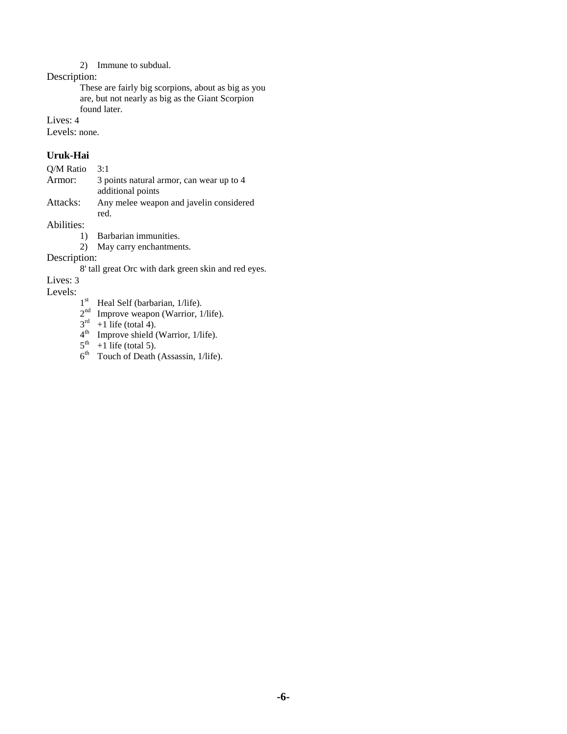#### 2) Immune to subdual.

Description:

These are fairly big scorpions, about as big as you are, but not nearly as big as the Giant Scorpion found later.

Lives: 4

Levels: none.

#### **Uruk-Hai**

| O/M Ratio                                                               | 3:1                                             |
|-------------------------------------------------------------------------|-------------------------------------------------|
| Armor:<br>3 points natural armor, can wear up to 4<br>additional points |                                                 |
| Attacks:                                                                | Any melee weapon and javelin considered<br>red. |
| Abilities:                                                              |                                                 |
|                                                                         | Barbarian immunities.                           |
|                                                                         | May corry anchorimante                          |

2) May carry enchantments.

Description:

8' tall great Orc with dark green skin and red eyes.

Lives: 3

Levels:

- $1<sup>st</sup>$  Heal Self (barbarian, 1/life).
- $2<sup>nd</sup>$  Improve weapon (Warrior, 1/life).
- $3<sup>rd</sup> +1$  life (total 4).
- $4<sup>th</sup>$  Improve shield (Warrior, 1/life).
- $5<sup>th</sup> +1$  life (total 5).
- $6<sup>th</sup>$  Touch of Death (Assassin, 1/life).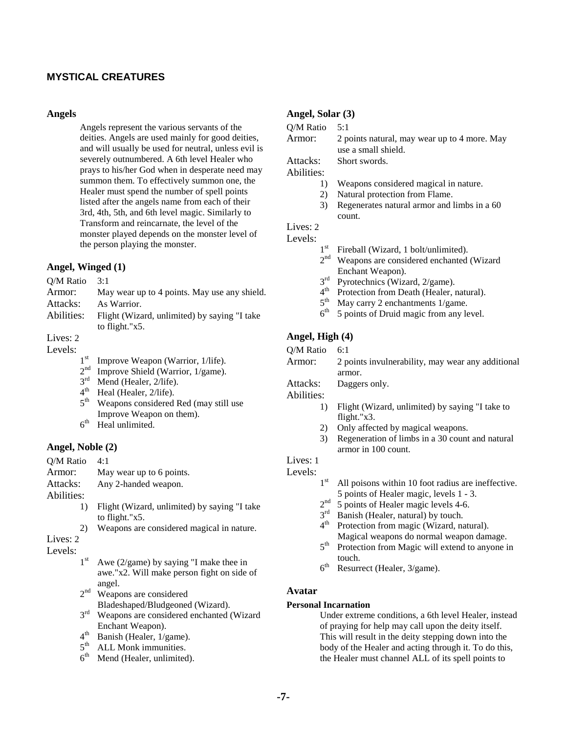## **MYSTICAL CREATURES**

#### **Angels**

Angels represent the various servants of the deities. Angels are used mainly for good deities, and will usually be used for neutral, unless evil is severely outnumbered. A 6th level Healer who prays to his/her God when in desperate need may summon them. To effectively summon one, the Healer must spend the number of spell points listed after the angels name from each of their 3rd, 4th, 5th, and 6th level magic. Similarly to Transform and reincarnate, the level of the monster played depends on the monster level of the person playing the monster.

#### **Angel, Winged (1)**

| O/M Ratio  | 3:1                                          |
|------------|----------------------------------------------|
| Armor:     | May wear up to 4 points. May use any shield. |
| Attacks:   | As Warrior.                                  |
| Abilities: | Flight (Wizard, unlimited) by saying "I take |
|            | to flight." $x5$ .                           |
| Lives: $2$ |                                              |

Levels:

| $1^{\rm st}$ | Improve Weapon (Warrior, 1/life). |  |  |  |
|--------------|-----------------------------------|--|--|--|
|--------------|-----------------------------------|--|--|--|

- $2<sup>nd</sup>$  Improve Shield (Warrior, 1/game).<br> $3<sup>rd</sup>$  Mend (Healer, 2/life).
- $3<sup>rd</sup>$  Mend (Healer, 2/life).<br> $4<sup>th</sup>$  Heal (Healer, 2/life)
- $4<sup>th</sup>$  Heal (Healer, 2/life).<br> $5<sup>th</sup>$  Weanons considered
- Weapons considered Red (may still use Improve Weapon on them).
- $6<sup>th</sup>$  Heal unlimited.

#### **Angel, Noble (2)**

| Q/M Ratio    | 4·1                                             |
|--------------|-------------------------------------------------|
| Armor:       | May wear up to 6 points.                        |
| Attacks:     | Any 2-handed weapon.                            |
| Abilities:   |                                                 |
| 1)           | Flight (Wizard, unlimited) by saying "I take    |
|              | to flight."x5.                                  |
| 2)           | Weapons are considered magical in nature.       |
| Lives: 2     |                                                 |
| Levels:      |                                                 |
| $1^{\rm st}$ | Awe $(2/\text{game})$ by saying "I make thee in |
|              | awe."x2. Will make person fight on side of      |
|              | angel.                                          |

- 2<sup>nd</sup> Weapons are considered Bladeshaped/Bludgeoned (Wizard).
- 3<sup>rd</sup> Weapons are considered enchanted (Wizard Enchant Weapon).
- $4<sup>th</sup>$  Banish (Healer, 1/game).
- $5<sup>th</sup>$  ALL Monk immunities.<br> $6<sup>th</sup>$  Mend (Healer, unlimited
- Mend (Healer, unlimited).

#### **Angel, Solar (3)**

| Q/M Ratio  |                 | 5:1                                                                 |
|------------|-----------------|---------------------------------------------------------------------|
| Armor:     |                 | 2 points natural, may wear up to 4 more. May<br>use a small shield. |
| Attacks:   |                 | Short swords.                                                       |
| Abilities: |                 |                                                                     |
|            | 1)              | Weapons considered magical in nature.                               |
|            | 2)              | Natural protection from Flame.                                      |
|            | 3)              | Regenerates natural armor and limbs in a 60<br>count.               |
| Lives: 2   |                 |                                                                     |
| Levels:    |                 |                                                                     |
|            | 1 <sup>st</sup> | Fireball (Wizard, 1 bolt/unlimited).                                |
|            | $\gamma$ nd     | Wegners are considered enchanted (Wizard                            |

- Weapons are considered enchanted (Wizard Enchant Weapon).
- $3<sup>rd</sup>$  Pyrotechnics (Wizard, 2/game).<br> $4<sup>th</sup>$  Protection from Death (Healer 1
- Protection from Death (Healer, natural).
- $5<sup>th</sup>$  May carry 2 enchantments 1/game.<br> $6<sup>th</sup>$  5 points of Druid magic from any let
- 5 points of Druid magic from any level.

### **Angel, High (4)**

| Q/M Ratio | 6:1 |
|-----------|-----|
|-----------|-----|

| Armor:     | 2 points invulnerability, may wear any additional |
|------------|---------------------------------------------------|
|            | armor.                                            |
| Attacks:   | Daggers only.                                     |
| Abilities: |                                                   |

- 1) Flight (Wizard, unlimited) by saying "I take to flight."x3.
- 2) Only affected by magical weapons.
- 3) Regeneration of limbs in a 30 count and natural armor in 100 count.

# Lives: 1

- Levels:  $1^{\text{st}}$ All poisons within 10 foot radius are ineffective. 5 points of Healer magic, levels 1 - 3.
	- $2<sup>nd</sup>$  5 points of Healer magic levels 4-6.
	- $3<sup>rd</sup>$  Banish (Healer, natural) by touch.
	- 4<sup>th</sup> Protection from magic (Wizard, natural). Magical weapons do normal weapon damage.
	- 5<sup>th</sup> Protection from Magic will extend to anyone in touch.
	- $6<sup>th</sup>$  Resurrect (Healer, 3/game).

# **Avatar**

#### **Personal Incarnation**

Under extreme conditions, a 6th level Healer, instead of praying for help may call upon the deity itself. This will result in the deity stepping down into the body of the Healer and acting through it. To do this, the Healer must channel ALL of its spell points to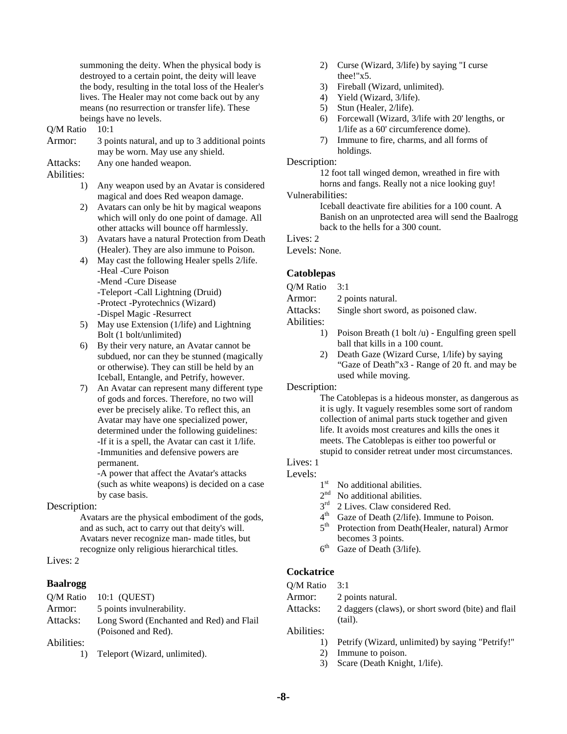summoning the deity. When the physical body is destroyed to a certain point, the deity will leave the body, resulting in the total loss of the Healer's lives. The Healer may not come back out by any means (no resurrection or transfer life). These beings have no levels.

#### Q/M Ratio 10:1

| 3 points natural, and up to 3 additional points |
|-------------------------------------------------|
| may be worn. May use any shield.                |
| Any one handed weapon.                          |
|                                                 |

Abilities:

1) Any weapon used by an Avatar is considered magical and does Red weapon damage.

2) Avatars can only be hit by magical weapons which will only do one point of damage. All other attacks will bounce off harmlessly.

- 3) Avatars have a natural Protection from Death (Healer). They are also immune to Poison.
- 4) May cast the following Healer spells 2/life. -Heal -Cure Poison -Mend -Cure Disease -Teleport -Call Lightning (Druid) -Protect -Pyrotechnics (Wizard) -Dispel Magic -Resurrect
- 5) May use Extension (1/life) and Lightning Bolt (1 bolt/unlimited)
- 6) By their very nature, an Avatar cannot be subdued, nor can they be stunned (magically or otherwise). They can still be held by an Iceball, Entangle, and Petrify, however.
- 7) An Avatar can represent many different type of gods and forces. Therefore, no two will ever be precisely alike. To reflect this, an Avatar may have one specialized power, determined under the following guidelines: -If it is a spell, the Avatar can cast it 1/life. -Immunities and defensive powers are permanent.

 -A power that affect the Avatar's attacks (such as white weapons) is decided on a case by case basis.

#### Description:

Avatars are the physical embodiment of the gods, and as such, act to carry out that deity's will. Avatars never recognize man- made titles, but recognize only religious hierarchical titles.

#### Lives: 2

#### **Baalrogg**

|            | O/M Ratio 10:1 (OUEST)                                          |
|------------|-----------------------------------------------------------------|
| Armor:     | 5 points invulnerability.                                       |
| Attacks:   | Long Sword (Enchanted and Red) and Flail<br>(Poisoned and Red). |
| Abilities: |                                                                 |

1) Teleport (Wizard, unlimited).

- 2) Curse (Wizard, 3/life) by saying "I curse thee!"x5.
- 3) Fireball (Wizard, unlimited).
- 4) Yield (Wizard, 3/life).
- 5) Stun (Healer, 2/life).
- 6) Forcewall (Wizard, 3/life with 20' lengths, or 1/life as a 60' circumference dome).
- 7) Immune to fire, charms, and all forms of holdings.

#### Description:

12 foot tall winged demon, wreathed in fire with horns and fangs. Really not a nice looking guy! Vulnerabilities:

> Iceball deactivate fire abilities for a 100 count. A Banish on an unprotected area will send the Baalrogg back to the hells for a 300 count.

#### Lives: 2

Levels: None.

#### **Catoblepas**

Q/M Ratio 3:1

Armor: 2 points natural.

Attacks: Single short sword, as poisoned claw.

Abilities:

- 1) Poison Breath (1 bolt /u) Engulfing green spell ball that kills in a 100 count.
- 2) Death Gaze (Wizard Curse, 1/life) by saying "Gaze of Death"x3 - Range of 20 ft. and may be used while moving.

Description:

The Catoblepas is a hideous monster, as dangerous as it is ugly. It vaguely resembles some sort of random collection of animal parts stuck together and given life. It avoids most creatures and kills the ones it meets. The Catoblepas is either too powerful or stupid to consider retreat under most circumstances.

# Lives: 1

- Levels:  $1^{\text{st}}$ No additional abilities.
	- $2<sup>nd</sup>$  No additional abilities.
	- $3<sup>rd</sup>$  2 Lives. Claw considered Red.
	-
	- $4<sup>th</sup>$  Gaze of Death (2/life). Immune to Poison.<br> $5<sup>th</sup>$  Protection from Death (Healer, natural) Art Protection from Death(Healer, natural) Armor becomes 3 points.
	- $6<sup>th</sup>$  Gaze of Death (3/life).

#### **Cockatrice**

- Q/M Ratio 3:1
- Armor: 2 points natural.
- Attacks: 2 daggers (claws), or short sword (bite) and flail (tail).

Abilities:

- 1) Petrify (Wizard, unlimited) by saying "Petrify!"
- 2) Immune to poison.
- 3) Scare (Death Knight, 1/life).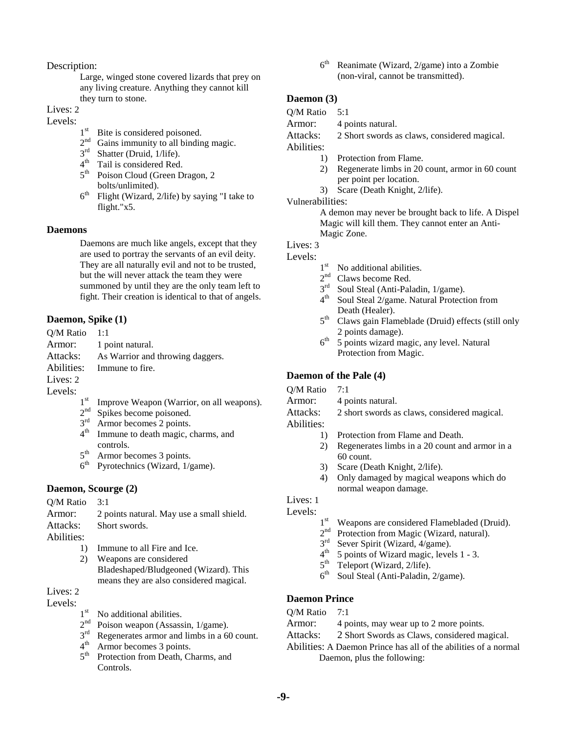Description:

Large, winged stone covered lizards that prey on any living creature. Anything they cannot kill they turn to stone.

Lives: 2

# Levels:  $1^{\text{st}}$

- $1<sup>st</sup>$  Bite is considered poisoned.<br> $2<sup>nd</sup>$  Gains immunity to all binding
- $2<sup>nd</sup>$  Gains immunity to all binding magic.<br> $3<sup>rd</sup>$  Shatter (Druid, 1/life).
- Shatter (Druid, 1/life).
- 4<sup>th</sup> Tail is considered Red.
- 5<sup>th</sup> Poison Cloud (Green Dragon, 2) bolts/unlimited).
- $6<sup>th</sup>$  Flight (Wizard, 2/life) by saying "I take to flight."x5.

#### **Daemons**

Daemons are much like angels, except that they are used to portray the servants of an evil deity. They are all naturally evil and not to be trusted, but the will never attack the team they were summoned by until they are the only team left to fight. Their creation is identical to that of angels.

#### **Daemon, Spike (1)**

| $O/M$ Ratio 1:1 |                                                     |
|-----------------|-----------------------------------------------------|
|                 | Armor: 1 point natural.                             |
|                 | Attacks: As Warrior and throwing daggers.           |
|                 | Abilities: Immune to fire.                          |
| Lives: 2        |                                                     |
| Levels:         |                                                     |
|                 | $1st$ Improve Weapon (Warrior on all $\overline{1}$ |

- Improve Weapon (Warrior, on all weapons).
- 2<sup>nd</sup> Spikes become poisoned.
- $3<sup>rd</sup>$  Armor becomes 2 points.<br>4<sup>th</sup> Immune to death magic com-
- Immune to death magic, charms, and controls.
- $5<sup>th</sup>$  Armor becomes 3 points.<br>6<sup>th</sup> Pyrotechnics (Wizard, 1/5)
- Pyrotechnics (Wizard, 1/game).

#### **Daemon, Scourge (2)**

### Q/M Ratio 3:1 Armor: 2 points natural. May use a small shield. Attacks: Short swords. Abilities: 1) Immune to all Fire and Ice.

2) Weapons are considered Bladeshaped/Bludgeoned (Wizard). This means they are also considered magical.

# Lives: 2

Levels:  $1^{\text{st}}$ 

- No additional abilities.
- $2<sup>nd</sup>$  Poison weapon (Assassin, 1/game).
- $3<sup>rd</sup>$  Regenerates armor and limbs in a 60 count.<br> $4<sup>th</sup>$  Armor becomes 3 noints
- Armor becomes 3 points.
- 5<sup>th</sup> Protection from Death, Charms, and Controls.

 $6<sup>th</sup>$  Reanimate (Wizard, 2/game) into a Zombie (non-viral, cannot be transmitted).

### **Daemon (3)**

Q/M Ratio 5:1

Armor: 4 points natural.

Attacks: 2 Short swords as claws, considered magical.

Abilities:

- 1) Protection from Flame.
- 2) Regenerate limbs in 20 count, armor in 60 count per point per location.
- 3) Scare (Death Knight, 2/life).

#### Vulnerabilities:

A demon may never be brought back to life. A Dispel Magic will kill them. They cannot enter an Anti-Magic Zone.

#### Lives: 3

# Levels:  $1^{\text{st}}$

- No additional abilities.
- $2<sup>nd</sup>$  Claws become Red.<br> $3<sup>rd</sup>$  Soul Steal (Anti-Pall)
- Soul Steal (Anti-Paladin, 1/game).
- 4<sup>th</sup> Soul Steal 2/game. Natural Protection from Death (Healer).
- 5<sup>th</sup> Claws gain Flameblade (Druid) effects (still only 2 points damage).
- $6<sup>th</sup>$  5 points wizard magic, any level. Natural Protection from Magic.

#### **Daemon of the Pale (4)**

Q/M Ratio 7:1 Armor: 4 points natural.

- Attacks: 2 short swords as claws, considered magical.
- Abilities:
	- 1) Protection from Flame and Death.
	- 2) Regenerates limbs in a 20 count and armor in a 60 count.
	- 3) Scare (Death Knight, 2/life).
	- 4) Only damaged by magical weapons which do normal weapon damage.

Lives: 1

- Levels:  $1^{st}$ Weapons are considered Flamebladed (Druid).
	- $2<sup>nd</sup>$  Protection from Magic (Wizard, natural).<br> $3<sup>rd</sup>$  Sever Spirit (Wizard, 4/game).
	- Sever Spirit (Wizard, 4/game).
	- 4<sup>th</sup> 5 points of Wizard magic, levels 1 3.
	- $5<sup>th</sup>$  Teleport (Wizard, 2/life).<br> $6<sup>th</sup>$  Soul Steal (Anti-Paladin)
	- Soul Steal (Anti-Paladin, 2/game).

#### **Daemon Prince**

#### O/M Ratio 7:1

- Armor: 4 points, may wear up to 2 more points.
- Attacks: 2 Short Swords as Claws, considered magical.
- Abilities: A Daemon Prince has all of the abilities of a normal Daemon, plus the following: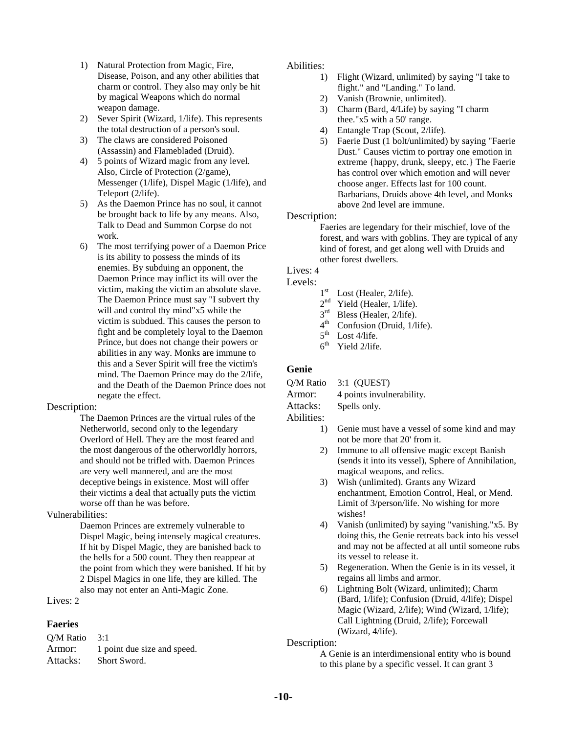- 1) Natural Protection from Magic, Fire, Disease, Poison, and any other abilities that charm or control. They also may only be hit by magical Weapons which do normal weapon damage.
- 2) Sever Spirit (Wizard, 1/life). This represents the total destruction of a person's soul.
- 3) The claws are considered Poisoned (Assassin) and Flamebladed (Druid).
- 4) 5 points of Wizard magic from any level. Also, Circle of Protection (2/game), Messenger (1/life), Dispel Magic (1/life), and Teleport (2/life).
- 5) As the Daemon Prince has no soul, it cannot be brought back to life by any means. Also, Talk to Dead and Summon Corpse do not work.
- 6) The most terrifying power of a Daemon Price is its ability to possess the minds of its enemies. By subduing an opponent, the Daemon Prince may inflict its will over the victim, making the victim an absolute slave. The Daemon Prince must say "I subvert thy will and control thy mind"x5 while the victim is subdued. This causes the person to fight and be completely loyal to the Daemon Prince, but does not change their powers or abilities in any way. Monks are immune to this and a Sever Spirit will free the victim's mind. The Daemon Prince may do the 2/life, and the Death of the Daemon Prince does not negate the effect.

#### Description:

The Daemon Princes are the virtual rules of the Netherworld, second only to the legendary Overlord of Hell. They are the most feared and the most dangerous of the otherworldly horrors, and should not be trifled with. Daemon Princes are very well mannered, and are the most deceptive beings in existence. Most will offer their victims a deal that actually puts the victim worse off than he was before.

#### Vulnerabilities:

Daemon Princes are extremely vulnerable to Dispel Magic, being intensely magical creatures. If hit by Dispel Magic, they are banished back to the hells for a 500 count. They then reappear at the point from which they were banished. If hit by 2 Dispel Magics in one life, they are killed. The also may not enter an Anti-Magic Zone.

Lives: 2

#### **Faeries**

Q/M Ratio 3:1 Armor: 1 point due size and speed. Attacks: Short Sword.

#### Abilities:

- 1) Flight (Wizard, unlimited) by saying "I take to flight." and "Landing." To land.
- 2) Vanish (Brownie, unlimited).
- 3) Charm (Bard, 4/Life) by saying "I charm thee."x5 with a 50' range.
- 4) Entangle Trap (Scout, 2/life).
- 5) Faerie Dust (1 bolt/unlimited) by saying "Faerie Dust." Causes victim to portray one emotion in extreme {happy, drunk, sleepy, etc.} The Faerie has control over which emotion and will never choose anger. Effects last for 100 count. Barbarians, Druids above 4th level, and Monks above 2nd level are immune.

#### Description:

Faeries are legendary for their mischief, love of the forest, and wars with goblins. They are typical of any kind of forest, and get along well with Druids and other forest dwellers.

#### Lives: 4

Levels:  $1<sup>st</sup>$ 

- $1<sup>st</sup>$  Lost (Healer, 2/life).<br> $2<sup>nd</sup>$  Yield (Healer, 1/life)
- $2<sup>nd</sup>$  Yield (Healer, 1/life).<br> $3<sup>rd</sup>$  Bless (Healer, 2/life).
- Bless (Healer, 2/life).
- 4<sup>th</sup> Confusion (Druid, 1/life).
- $5<sup>th</sup>$  Lost 4/life.
- $6<sup>th</sup>$  Yield 2/life.

### **Genie**

- Q/M Ratio 3:1 (QUEST)
- Armor: 4 points invulnerability.

Attacks: Spells only. Abilities:

- 1) Genie must have a vessel of some kind and may not be more that 20' from it.
- 2) Immune to all offensive magic except Banish (sends it into its vessel), Sphere of Annihilation, magical weapons, and relics.
- 3) Wish (unlimited). Grants any Wizard enchantment, Emotion Control, Heal, or Mend. Limit of 3/person/life. No wishing for more wishes!
- 4) Vanish (unlimited) by saying "vanishing."x5. By doing this, the Genie retreats back into his vessel and may not be affected at all until someone rubs its vessel to release it.
- 5) Regeneration. When the Genie is in its vessel, it regains all limbs and armor.
- 6) Lightning Bolt (Wizard, unlimited); Charm (Bard, 1/life); Confusion (Druid, 4/life); Dispel Magic (Wizard, 2/life); Wind (Wizard, 1/life); Call Lightning (Druid, 2/life); Forcewall (Wizard, 4/life).

Description:

A Genie is an interdimensional entity who is bound to this plane by a specific vessel. It can grant 3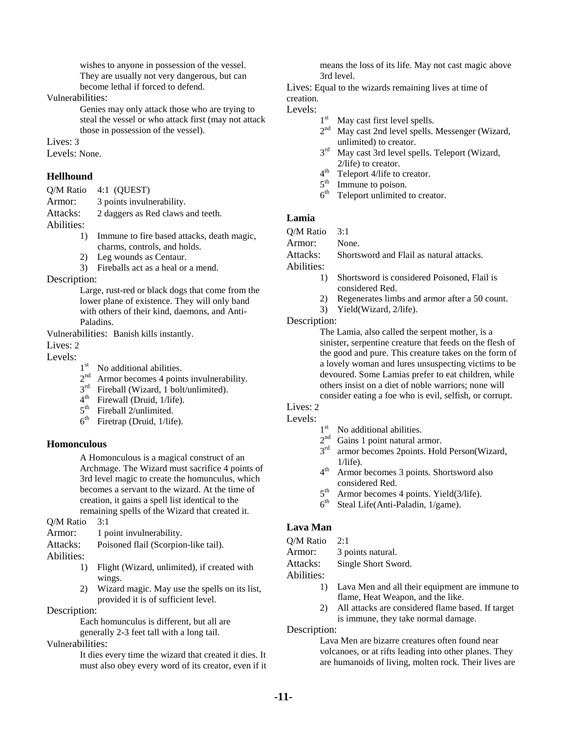wishes to anyone in possession of the vessel. They are usually not very dangerous, but can become lethal if forced to defend.

Vulnerabilities:

Genies may only attack those who are trying to steal the vessel or who attack first (may not attack those in possession of the vessel).

Lives: 3

Levels: None.

### **Hellhound**

- Q/M Ratio 4:1 (QUEST)
- Armor: 3 points invulnerability.
- Attacks: 2 daggers as Red claws and teeth.

Abilities:

- 1) Immune to fire based attacks, death magic, charms, controls, and holds.
- 2) Leg wounds as Centaur.
- 3) Fireballs act as a heal or a mend.

Description:

Large, rust-red or black dogs that come from the lower plane of existence. They will only band with others of their kind, daemons, and Anti-Paladins.

Vulnerabilities: Banish kills instantly.

Lives: 2

- Levels:  $1<sup>st</sup>$ No additional abilities.
	- $2<sup>nd</sup>$  Armor becomes 4 points invulnerability.
	- $3<sup>rd</sup>$  Fireball (Wizard, 1 bolt/unlimited).
	- 4<sup>th</sup> Firewall (Druid, 1/life).
	- $5^{\text{th}}$  Fireball 2/unlimited.
	- $6<sup>th</sup>$  Firetrap (Druid, 1/life).

#### **Homonculous**

A Homonculous is a magical construct of an Archmage. The Wizard must sacrifice 4 points of 3rd level magic to create the homunculus, which becomes a servant to the wizard. At the time of creation, it gains a spell list identical to the remaining spells of the Wizard that created it.

Q/M Ratio 3:1

Armor: 1 point invulnerability.

Attacks: Poisoned flail (Scorpion-like tail).

- Abilities:
	- 1) Flight (Wizard, unlimited), if created with wings.
	- 2) Wizard magic. May use the spells on its list, provided it is of sufficient level.

Description:

Each homunculus is different, but all are generally 2-3 feet tall with a long tail.

Vulnerabilities:

It dies every time the wizard that created it dies. It must also obey every word of its creator, even if it means the loss of its life. May not cast magic above 3rd level.

Lives: Equal to the wizards remaining lives at time of creation.

Levels:  $1^{\text{st}}$ 

- May cast first level spells.
- 2<sup>nd</sup> May cast 2nd level spells. Messenger (Wizard, unlimited) to creator.
- 3rd May cast 3rd level spells. Teleport (Wizard, 2/life) to creator.
- 4<sup>th</sup> Teleport 4/life to creator.
- 5<sup>th</sup> Immune to poison.
- $6<sup>th</sup>$  Teleport unlimited to creator.

## **Lamia**

Q/M Ratio 3:1

Armor: None.

Attacks: Shortsword and Flail as natural attacks.

Abilities:

- 1) Shortsword is considered Poisoned, Flail is considered Red.
- 2) Regenerates limbs and armor after a 50 count.
- 3) Yield(Wizard, 2/life).

#### Description:

The Lamia, also called the serpent mother, is a sinister, serpentine creature that feeds on the flesh of the good and pure. This creature takes on the form of a lovely woman and lures unsuspecting victims to be devoured. Some Lamias prefer to eat children, while others insist on a diet of noble warriors; none will consider eating a foe who is evil, selfish, or corrupt.

# Lives: 2

Levels:  $1^{\text{st}}$ 

- No additional abilities.
- 2<sup>nd</sup> Gains 1 point natural armor.
- 3<sup>rd</sup> armor becomes 2points. Hold Person(Wizard,  $1/l$ ife).
- 4th Armor becomes 3 points. Shortsword also considered Red.
- $5<sup>th</sup>$  Armor becomes 4 points. Yield(3/life).
- $6<sup>th</sup>$  Steal Life(Anti-Paladin, 1/game).

# **Lava Man**

Q/M Ratio 2:1

Armor: 3 points natural.

Attacks: Single Short Sword.

Abilities:

- 1) Lava Men and all their equipment are immune to flame, Heat Weapon, and the like.
- 2) All attacks are considered flame based. If target is immune, they take normal damage.

Description:

Lava Men are bizarre creatures often found near volcanoes, or at rifts leading into other planes. They are humanoids of living, molten rock. Their lives are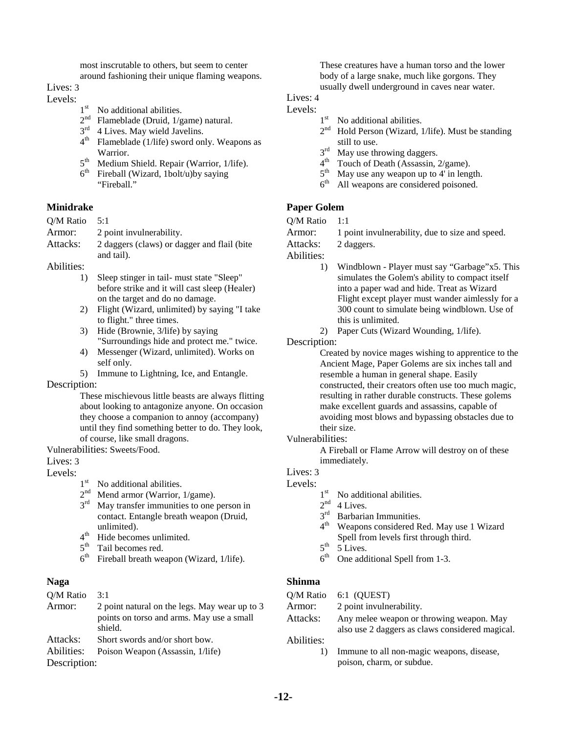most inscrutable to others, but seem to center around fashioning their unique flaming weapons.

Lives: 3

# Levels:  $1<sup>st</sup>$

- No additional abilities.
- $2<sup>nd</sup>$  Flameblade (Druid, 1/game) natural.
- $3<sup>rd</sup>$  4 Lives. May wield Javelins.
- $4<sup>th</sup>$  Flameblade (1/life) sword only. Weapons as Warrior.
- $5<sup>th</sup>$  Medium Shield. Repair (Warrior, 1/life).<br> $6<sup>th</sup>$  Fireball (Wizard. 1bolt/u)by saving
- Fireball (Wizard, 1bolt/u)by saying "Fireball."

### **Minidrake**

| Q/M Ratio | 5:1 |  |  |
|-----------|-----|--|--|
|           |     |  |  |

| Armor:   | 2 point invulnerability.                    |
|----------|---------------------------------------------|
| Attacks: | 2 daggers (claws) or dagger and flail (bite |
|          | and tail).                                  |

Abilities:

- 1) Sleep stinger in tail- must state "Sleep" before strike and it will cast sleep (Healer) on the target and do no damage.
- 2) Flight (Wizard, unlimited) by saying "I take to flight." three times.
- 3) Hide (Brownie, 3/life) by saying "Surroundings hide and protect me." twice.
- 4) Messenger (Wizard, unlimited). Works on self only.
- 5) Immune to Lightning, Ice, and Entangle.

Description:

These mischievous little beasts are always flitting about looking to antagonize anyone. On occasion they choose a companion to annoy (accompany) until they find something better to do. They look, of course, like small dragons.

Vulnerabilities: Sweets/Food.

# Lives: 3

# Levels:  $1<sup>st</sup>$

- No additional abilities.
- $2<sup>nd</sup>$  Mend armor (Warrior, 1/game).
- 3<sup>rd</sup> May transfer immunities to one person in contact. Entangle breath weapon (Druid, unlimited).
- 4<sup>th</sup> Hide becomes unlimited.
- 5<sup>th</sup> Tail becomes red.
- $6<sup>th</sup>$  Fireball breath weapon (Wizard, 1/life).

# **Naga**

| O/M Ratio    | 3:1                                                  |
|--------------|------------------------------------------------------|
| Armor:       | 2 point natural on the legs. May wear up to 3        |
|              | points on torso and arms. May use a small<br>shield. |
| Attacks:     | Short swords and/or short bow.                       |
| Abilities:   | Poison Weapon (Assassin, 1/life)                     |
| Description: |                                                      |

These creatures have a human torso and the lower body of a large snake, much like gorgons. They usually dwell underground in caves near water.

# Lives: 4

# Levels:  $1^{\text{st}}$

- No additional abilities.
	- $2<sup>nd</sup>$  Hold Person (Wizard, 1/life). Must be standing still to use.
- $3<sup>rd</sup>$  May use throwing daggers.<br>4<sup>th</sup> Touch of Death (Assassin, 2nd
- $4<sup>th</sup>$  Touch of Death (Assassin, 2/game).<br> $5<sup>th</sup>$  May use any weapon up to 4' in large
- $5<sup>th</sup>$  May use any weapon up to 4' in length.<br> $6<sup>th</sup>$  All weapons are considered noisoned
- All weapons are considered poisoned.

# **Paper Golem**

- Q/M Ratio 1:1
- Armor: 1 point invulnerability, due to size and speed.

Attacks: 2 daggers.

Abilities:

- 1) Windblown Player must say "Garbage"x5. This simulates the Golem's ability to compact itself into a paper wad and hide. Treat as Wizard Flight except player must wander aimlessly for a 300 count to simulate being windblown. Use of this is unlimited.
- 2) Paper Cuts (Wizard Wounding, 1/life).

Description:

Created by novice mages wishing to apprentice to the Ancient Mage, Paper Golems are six inches tall and resemble a human in general shape. Easily constructed, their creators often use too much magic, resulting in rather durable constructs. These golems make excellent guards and assassins, capable of avoiding most blows and bypassing obstacles due to their size.

Vulnerabilities:

A Fireball or Flame Arrow will destroy on of these immediately.

# Lives: 3

- Levels:
	- $1<sup>st</sup>$  No additional abilities.<br> $2<sup>nd</sup>$  4 Lives.
	- 4 Lives.
	- 3<sup>rd</sup> Barbarian Immunities.
	- 4th Weapons considered Red. May use 1 Wizard Spell from levels first through third.
	- $5<sup>th</sup>$  5 Lives.
	- $6<sup>th</sup>$  One additional Spell from 1-3.

# **Shinma**

| O/M Ratio  | $6:1$ (OUEST)                                   |
|------------|-------------------------------------------------|
| Armor:     | 2 point invulnerability.                        |
| Attacks:   | Any melee weapon or throwing weapon. May        |
|            | also use 2 daggers as claws considered magical. |
| Abilities: |                                                 |
| $\Box$     | Immune to all non-magic weapons, disease,       |

poison, charm, or subdue.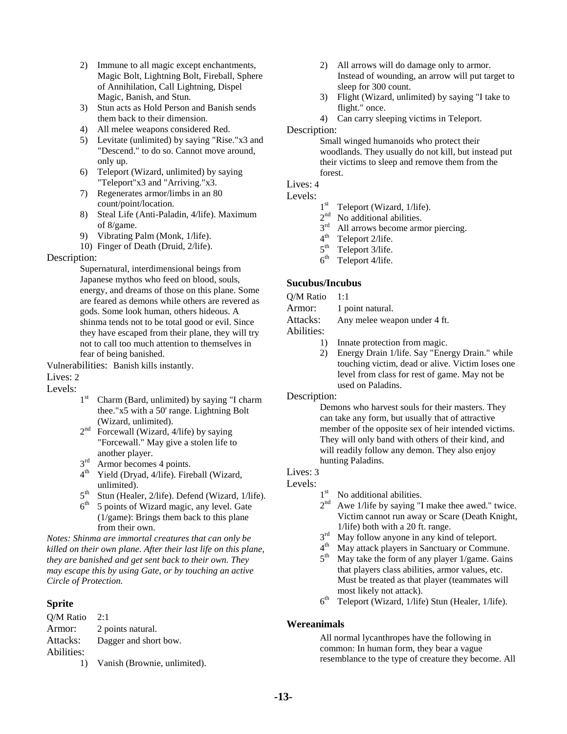- 2) Immune to all magic except enchantments, Magic Bolt, Lightning Bolt, Fireball, Sphere of Annihilation, Call Lightning, Dispel Magic, Banish, and Stun.
- 3) Stun acts as Hold Person and Banish sends them back to their dimension.
- 4) All melee weapons considered Red.
- 5) Levitate (unlimited) by saying "Rise."x3 and "Descend." to do so. Cannot move around, only up.
- 6) Teleport (Wizard, unlimited) by saying "Teleport"x3 and "Arriving."x3.
- 7) Regenerates armor/limbs in an 80 count/point/location.
- 8) Steal Life (Anti-Paladin, 4/life). Maximum of 8/game.
- 9) Vibrating Palm (Monk, 1/life).
- 10) Finger of Death (Druid, 2/life).

#### Description:

Supernatural, interdimensional beings from Japanese mythos who feed on blood, souls, energy, and dreams of those on this plane. Some are feared as demons while others are revered as gods. Some look human, others hideous. A shinma tends not to be total good or evil. Since they have escaped from their plane, they will try not to call too much attention to themselves in fear of being banished.

Vulnerabilities: Banish kills instantly.

## Lives: 2

Levels:

- $1<sup>st</sup>$  Charm (Bard, unlimited) by saying "I charm thee."x5 with a 50' range. Lightning Bolt (Wizard, unlimited).
- 2<sup>nd</sup> Forcewall (Wizard, 4/life) by saying "Forcewall." May give a stolen life to another player.
- 3<sup>rd</sup> Armor becomes 4 points.
- 4<sup>th</sup> Yield (Dryad, 4/life). Fireball (Wizard, unlimited).
- $5<sup>th</sup>$  Stun (Healer, 2/life). Defend (Wizard, 1/life).<br> $6<sup>th</sup>$  5 points of Wizard magic, any level. Gate
- 5 points of Wizard magic, any level. Gate (1/game): Brings them back to this plane from their own.

*Notes: Shinma are immortal creatures that can only be killed on their own plane. After their last life on this plane, they are banished and get sent back to their own. They may escape this by using Gate, or by touching an active Circle of Protection.* 

# **Sprite**

| O/M Ratio  | - 2:1                                                                                    |
|------------|------------------------------------------------------------------------------------------|
| Armor:     | 2 points natural.                                                                        |
| Attacks:   | Dagger and short bow.                                                                    |
| Abilities: |                                                                                          |
|            | $\overline{M}_{\text{out}}$ is $\overline{D}_{\text{in}}$ in $\overline{D}_{\text{out}}$ |

1) Vanish (Brownie, unlimited).

- 2) All arrows will do damage only to armor. Instead of wounding, an arrow will put target to sleep for 300 count.
- 3) Flight (Wizard, unlimited) by saying "I take to flight." once.
- 4) Can carry sleeping victims in Teleport.

#### Description:

Small winged humanoids who protect their woodlands. They usually do not kill, but instead put their victims to sleep and remove them from the forest.

Lives: 4

#### Levels:

- $1<sup>st</sup>$  Teleport (Wizard, 1/life).
- $2<sup>nd</sup>$  No additional abilities.<br> $3<sup>rd</sup>$  All arrows become arm
- $3<sup>rd</sup>$  All arrows become armor piercing.<br> $4<sup>th</sup>$  Teleport 2/life
- Teleport 2/life.
- $5<sup>th</sup>$  Teleport 3/life.<br> $6<sup>th</sup>$  Teleport 4/life.
- Teleport 4/life.

#### **Sucubus/Incubus**

Q/M Ratio 1:1

Armor: 1 point natural.

Attacks: Any melee weapon under 4 ft.

Abilities:

- 1) Innate protection from magic.
- 2) Energy Drain 1/life. Say "Energy Drain." while touching victim, dead or alive. Victim loses one level from class for rest of game. May not be used on Paladins.

Description:

Demons who harvest souls for their masters. They can take any form, but usually that of attractive member of the opposite sex of heir intended victims. They will only band with others of their kind, and will readily follow any demon. They also enjoy hunting Paladins.

#### Lives: 3

#### Levels:

- $1<sup>st</sup>$  No additional abilities.
- $2<sup>nd</sup>$  Awe 1/life by saying "I make thee awed." twice. Victim cannot run away or Scare (Death Knight, 1/life) both with a 20 ft. range.
- $3<sup>rd</sup>$  May follow anyone in any kind of teleport.<br> $4<sup>th</sup>$  May attack players in Sanctuary or Community
- $4<sup>th</sup>$  May attack players in Sanctuary or Commune.<br> $5<sup>th</sup>$  May take the form of any player 1/game. Gains
- May take the form of any player  $1/game$ . Gains that players class abilities, armor values, etc. Must be treated as that player (teammates will most likely not attack).
- $6<sup>th</sup>$  Teleport (Wizard, 1/life) Stun (Healer, 1/life).

#### **Wereanimals**

All normal lycanthropes have the following in common: In human form, they bear a vague resemblance to the type of creature they become. All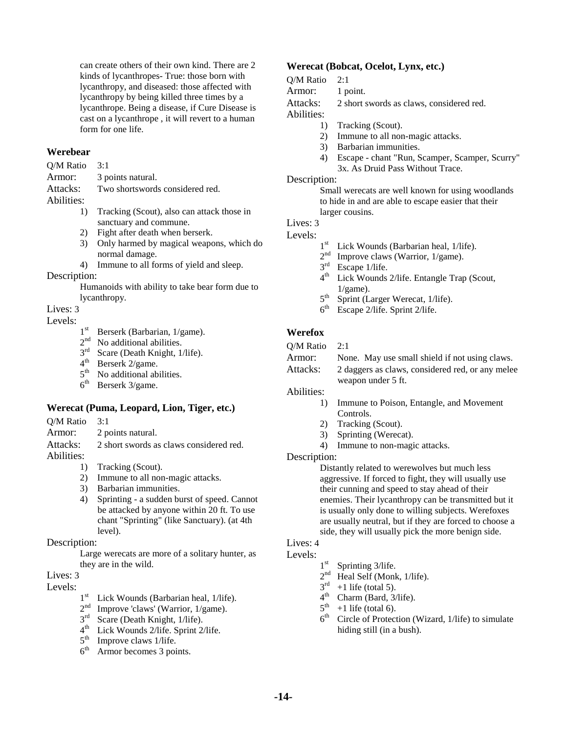can create others of their own kind. There are 2 kinds of lycanthropes- True: those born with lycanthropy, and diseased: those affected with lycanthropy by being killed three times by a lycanthrope. Being a disease, if Cure Disease is cast on a lycanthrope , it will revert to a human form for one life.

#### **Werebear**

Q/M Ratio 3:1

Armor: 3 points natural.

Attacks: Two shortswords considered red. Abilities:

- 1) Tracking (Scout), also can attack those in sanctuary and commune.
- 2) Fight after death when berserk.
- 3) Only harmed by magical weapons, which do normal damage.
- 4) Immune to all forms of yield and sleep.

#### Description:

Humanoids with ability to take bear form due to lycanthropy.

Lives: 3

# Levels:  $1^{st}$

- Berserk (Barbarian, 1/game).
- $2<sup>nd</sup>$  No additional abilities.
- 3rd Scare (Death Knight, 1/life).
- $4<sup>th</sup>$  Berserk 2/game.<br> $5<sup>th</sup>$  No additional ab
- $5<sup>th</sup>$  No additional abilities.<br>6<sup>th</sup> Berserk 3/game
- Berserk 3/game.

#### **Werecat (Puma, Leopard, Lion, Tiger, etc.)**

- Q/M Ratio 3:1
- Armor: 2 points natural.

Attacks: 2 short swords as claws considered red. Abilities:

- 1) Tracking (Scout).
- 2) Immune to all non-magic attacks.
- 3) Barbarian immunities.
- 4) Sprinting a sudden burst of speed. Cannot be attacked by anyone within 20 ft. To use chant "Sprinting" (like Sanctuary). (at 4th level).

#### Description:

Large werecats are more of a solitary hunter, as they are in the wild.

# Lives: 3

Levels:  $1^{st}$ 

- Lick Wounds (Barbarian heal, 1/life).
- $2<sup>nd</sup>$  Improve 'claws' (Warrior, 1/game).
- 3<sup>rd</sup> Scare (Death Knight, 1/life).
- $4<sup>th</sup>$  Lick Wounds 2/life. Sprint 2/life.<br> $5<sup>th</sup>$  Improve claws 1/life.
- $5<sup>th</sup>$  Improve claws 1/life.<br> $6<sup>th</sup>$  Armor becomes 3 noi
- Armor becomes 3 points.

#### **Werecat (Bobcat, Ocelot, Lynx, etc.)**

#### Q/M Ratio 2:1

Armor: 1 point.

Attacks: 2 short swords as claws, considered red.

- Abilities:
	- 1) Tracking (Scout).
	- 2) Immune to all non-magic attacks.
	- 3) Barbarian immunities.
	- 4) Escape chant "Run, Scamper, Scamper, Scurry" 3x. As Druid Pass Without Trace.

#### Description:

Small werecats are well known for using woodlands to hide in and are able to escape easier that their larger cousins.

#### Lives: 3

#### Levels:

- 1<sup>st</sup> Lick Wounds (Barbarian heal, 1/life).
- $2<sup>nd</sup>$  Improve claws (Warrior, 1/game).<br> $3<sup>rd</sup>$  Escape 1/life.
- $3<sup>rd</sup>$  Escape 1/life.<br> $4<sup>th</sup>$  Lick Wounds
- Lick Wounds 2/life. Entangle Trap (Scout,  $1$ /game).
- $5<sup>th</sup>$  Sprint (Larger Werecat, 1/life).<br> $6<sup>th</sup>$  Escape 2/life Sprint 2/life
- Escape 2/life. Sprint 2/life.

#### **Werefox**

| Q/M Ratio | $\mathcal{D} \cdot \mathbf{1}$ |
|-----------|--------------------------------|
|-----------|--------------------------------|

| Armor: | None. May use small shield if not using claws. |  |  |  |  |  |
|--------|------------------------------------------------|--|--|--|--|--|
|        |                                                |  |  |  |  |  |

Attacks: 2 daggers as claws, considered red, or any melee weapon under 5 ft.

#### Abilities:

- 1) Immune to Poison, Entangle, and Movement Controls.
- 2) Tracking (Scout).
- 3) Sprinting (Werecat).
- 4) Immune to non-magic attacks.

#### Description:

Distantly related to werewolves but much less aggressive. If forced to fight, they will usually use their cunning and speed to stay ahead of their enemies. Their lycanthropy can be transmitted but it is usually only done to willing subjects. Werefoxes are usually neutral, but if they are forced to choose a side, they will usually pick the more benign side.

# Lives: 4

# Levels:  $1^{\text{st}}$

- Sprinting 3/life.
- 2<sup>nd</sup> Heal Self (Monk, 1/life).
- $3<sup>rd</sup> +1$  life (total 5).
- $4<sup>th</sup>$  Charm (Bard, 3/life).
- $5<sup>th</sup>$  +1 life (total 6).
- $6<sup>th</sup>$  Circle of Protection (Wizard, 1/life) to simulate hiding still (in a bush).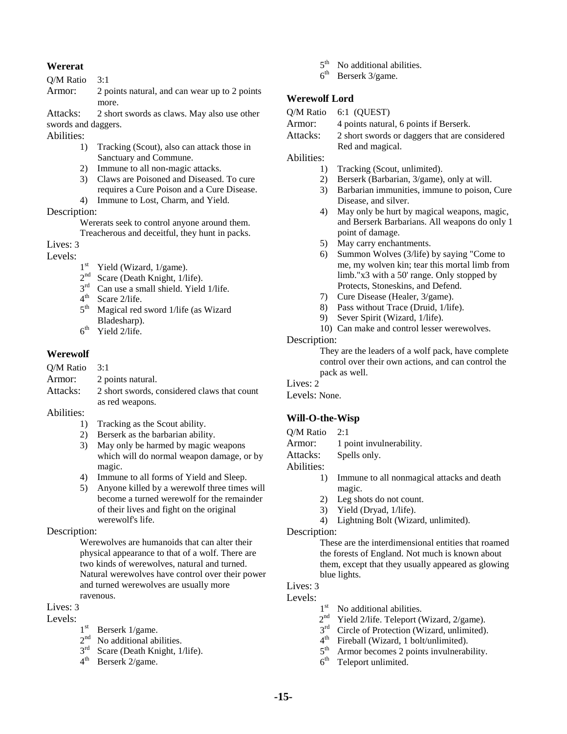### **Wererat**

Q/M Ratio 3:1

| Armor: | 2 points natural, and can wear up to 2 points |
|--------|-----------------------------------------------|
|        | more.                                         |

Attacks: 2 short swords as claws. May also use other swords and daggers.

Abilities:

- 1) Tracking (Scout), also can attack those in Sanctuary and Commune.
- 2) Immune to all non-magic attacks.
- 3) Claws are Poisoned and Diseased. To cure requires a Cure Poison and a Cure Disease. 4) Immune to Lost, Charm, and Yield.

#### Description:

Wererats seek to control anyone around them. Treacherous and deceitful, they hunt in packs.

Lives: 3

# Levels:  $1^{\text{st}}$

- Yield (Wizard, 1/game).
- $2<sup>nd</sup>$  Scare (Death Knight, 1/life).<br> $3<sup>rd</sup>$  Can use a small shield. Yield
- $3<sup>rd</sup>$  Can use a small shield. Yield 1/life.<br> $4<sup>th</sup>$  Scare 2/life
- $4<sup>th</sup>$  Scare 2/life.<br> $5<sup>th</sup>$  Magical red
- Magical red sword 1/life (as Wizard Bladesharp).
- $6<sup>th</sup>$  Yield 2/life.

### **Werewolf**

| $O/M$ Ratio 3:1 |                                             |
|-----------------|---------------------------------------------|
| Armor:          | 2 points natural.                           |
| Attacks:        | 2 short swords, considered claws that count |
|                 | as red weapons.                             |

Abilities:

- 1) Tracking as the Scout ability.
- 2) Berserk as the barbarian ability.
- 3) May only be harmed by magic weapons which will do normal weapon damage, or by magic.
- 4) Immune to all forms of Yield and Sleep.
- 5) Anyone killed by a werewolf three times will become a turned werewolf for the remainder of their lives and fight on the original werewolf's life.

#### Description:

Werewolves are humanoids that can alter their physical appearance to that of a wolf. There are two kinds of werewolves, natural and turned. Natural werewolves have control over their power and turned werewolves are usually more ravenous.

Lives: 3

# Levels:  $1<sup>st</sup>$

- Berserk 1/game.
- $2<sup>nd</sup>$  No additional abilities.<br> $3<sup>rd</sup>$  Scare (Death Knight, 1)
- Scare (Death Knight, 1/life).
- 4th Berserk 2/game.
- $5<sup>th</sup>$  No additional abilities.
- $6<sup>th</sup>$  Berserk 3/game.

# **Werewolf Lord**

- Q/M Ratio 6:1 (QUEST)
- Armor: 4 points natural, 6 points if Berserk.
- Attacks: 2 short swords or daggers that are considered Red and magical.

Abilities:

- 1) Tracking (Scout, unlimited).
- 2) Berserk (Barbarian, 3/game), only at will.
- 3) Barbarian immunities, immune to poison, Cure Disease, and silver.
- 4) May only be hurt by magical weapons, magic, and Berserk Barbarians. All weapons do only 1 point of damage.
- 5) May carry enchantments.
- 6) Summon Wolves (3/life) by saying "Come to me, my wolven kin; tear this mortal limb from limb."x3 with a 50' range. Only stopped by Protects, Stoneskins, and Defend.
- 7) Cure Disease (Healer, 3/game).
- 8) Pass without Trace (Druid, 1/life).
- 9) Sever Spirit (Wizard, 1/life).
- 10) Can make and control lesser werewolves.

#### Description:

They are the leaders of a wolf pack, have complete control over their own actions, and can control the pack as well.

# Lives: 2

# Levels: None.

# **Will-O-the-Wisp**

- Q/M Ratio 2:1
- Armor: 1 point invulnerability.
- Attacks: Spells only.

Abilities:

- 1) Immune to all nonmagical attacks and death magic.
- 2) Leg shots do not count.
- 3) Yield (Dryad, 1/life).
- 4) Lightning Bolt (Wizard, unlimited).

#### Description:

These are the interdimensional entities that roamed the forests of England. Not much is known about them, except that they usually appeared as glowing blue lights.

# Lives: 3

- Levels:
	- 1<sup>st</sup> No additional abilities.
	- $2<sup>nd</sup>$  Yield 2/life. Teleport (Wizard, 2/game).
	- $3<sup>rd</sup>$  Circle of Protection (Wizard, unlimited).<br> $4<sup>th</sup>$  Fireball (Wizard, 1 bolt/unlimited).
	- $4^{\text{th}}$  Fireball (Wizard, 1 bolt/unlimited).<br> $5^{\text{th}}$  Armor becomes 2 points invulned
	- Armor becomes 2 points invulnerability.
	- $6<sup>th</sup>$  Teleport unlimited.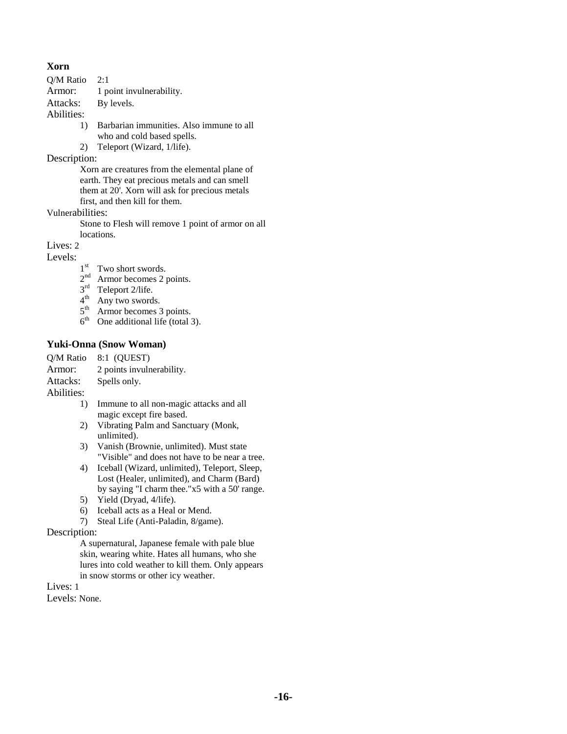### **Xorn**

- Q/M Ratio 2:1
- Armor: 1 point invulnerability.
- Attacks: By levels.

Abilities:

- 1) Barbarian immunities. Also immune to all who and cold based spells.
- 2) Teleport (Wizard, 1/life).

#### Description:

Xorn are creatures from the elemental plane of earth. They eat precious metals and can smell them at 20'. Xorn will ask for precious metals first, and then kill for them.

Vulnerabilities:

Stone to Flesh will remove 1 point of armor on all locations.

Lives: 2

Levels:  $1^{st}$ 

- Two short swords.
- 2<sup>nd</sup> Armor becomes 2 points.
- $3<sup>rd</sup>$  Teleport 2/life.
- 4<sup>th</sup> Any two swords.
- 5<sup>th</sup> Armor becomes 3 points.
- $6<sup>th</sup>$  One additional life (total 3).

### **Yuki-Onna (Snow Woman)**

| O/M Ratio    | 8:1 (OUEST)               |
|--------------|---------------------------|
| Armor:       | 2 points invulnerability. |
| Attacks:     | Spells only.              |
| $A$ hilitios |                           |

- Abilities:
	- 1) Immune to all non-magic attacks and all magic except fire based.
	- 2) Vibrating Palm and Sanctuary (Monk, unlimited).
	- 3) Vanish (Brownie, unlimited). Must state "Visible" and does not have to be near a tree.
	- 4) Iceball (Wizard, unlimited), Teleport, Sleep, Lost (Healer, unlimited), and Charm (Bard) by saying "I charm thee."x5 with a 50' range.
	- 5) Yield (Dryad, 4/life).
	- 6) Iceball acts as a Heal or Mend.
	- 7) Steal Life (Anti-Paladin, 8/game).

#### Description:

A supernatural, Japanese female with pale blue skin, wearing white. Hates all humans, who she lures into cold weather to kill them. Only appears in snow storms or other icy weather.

### Lives: 1

Levels: None.